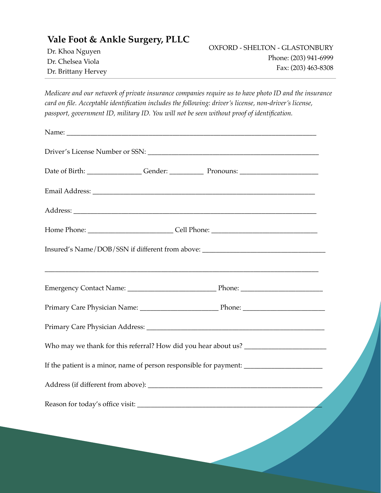| Vale Foot & Ankle Surgery, PLLC |                                |
|---------------------------------|--------------------------------|
| Dr. Khoa Nguyen                 | OXFORD - SHELTON - GLASTONBURY |
| Dr. Chelsea Viola               | Phone: (203) 941-6999          |
| Dr. Brittany Hervey             | Fax: (203) 463-8308            |

*Medicare and our network of private insurance companies require us to have photo ID and the insurance card on file. Acceptable identification includes the following: driver's license, non-driver's license, passport, government ID, military ID. You will not be seen without proof of identification.*

| Insured's Name/DOB/SSN if different from above: _________________________________ |  |                                                                                                                       |  |  |
|-----------------------------------------------------------------------------------|--|-----------------------------------------------------------------------------------------------------------------------|--|--|
|                                                                                   |  | <u> 1989 - Johann Stoff, deutscher Stoff, der Stoff, der Stoff, der Stoff, der Stoff, der Stoff, der Stoff, der S</u> |  |  |
|                                                                                   |  |                                                                                                                       |  |  |
|                                                                                   |  |                                                                                                                       |  |  |
|                                                                                   |  |                                                                                                                       |  |  |
|                                                                                   |  |                                                                                                                       |  |  |
|                                                                                   |  |                                                                                                                       |  |  |
|                                                                                   |  |                                                                                                                       |  |  |
|                                                                                   |  |                                                                                                                       |  |  |
|                                                                                   |  |                                                                                                                       |  |  |
|                                                                                   |  |                                                                                                                       |  |  |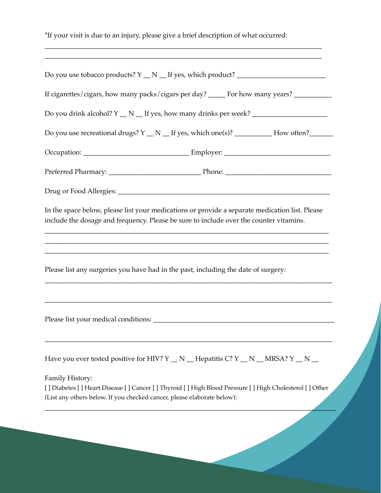\*If your visit is due to an injury, please give a brief description of what occurred: \_\_\_\_\_\_\_\_\_\_\_\_\_\_\_\_\_\_\_\_\_\_\_\_\_\_\_\_\_\_\_\_\_\_\_\_\_\_\_\_\_\_\_\_\_\_\_\_\_\_\_\_\_\_\_\_\_\_\_\_\_\_\_\_\_\_\_\_\_\_\_\_\_\_\_\_\_\_\_\_\_ \_\_\_\_\_\_\_\_\_\_\_\_\_\_\_\_\_\_\_\_\_\_\_\_\_\_\_\_\_\_\_\_\_\_\_\_\_\_\_\_\_\_\_\_\_\_\_\_\_\_\_\_\_\_\_\_\_\_\_\_\_\_\_\_\_\_\_\_\_\_\_\_\_\_\_\_\_\_\_\_\_ Do you use tobacco products? Y \_\_ N \_\_ If yes, which product? \_\_\_\_\_\_\_\_\_\_\_\_\_\_\_\_\_\_\_\_\_\_\_\_\_\_ If cigarettes/cigars, how many packs/cigars per day? \_\_\_\_\_ For how many years? \_\_\_\_\_\_\_\_\_\_\_\_\_\_\_\_\_\_\_\_\_\_\_\_\_\_\_\_\_\_\_ Do you drink alcohol?  $Y \_ N \_$  If yes, how many drinks per week? Do you use recreational drugs? Y \_\_ N \_\_ If yes, which one(s)? \_\_\_\_\_\_\_\_\_\_\_ How often?\_\_\_\_\_\_\_ Occupation: \_\_\_\_\_\_\_\_\_\_\_\_\_\_\_\_\_\_\_\_\_\_\_\_\_\_\_\_\_\_\_ Employer: \_\_\_\_\_\_\_\_\_\_\_\_\_\_\_\_\_\_\_\_\_\_\_\_\_\_\_\_\_\_\_ Preferred Pharmacy: \_\_\_\_\_\_\_\_\_\_\_\_\_\_\_\_\_\_\_\_\_\_\_\_\_\_\_ Phone: \_\_\_\_\_\_\_\_\_\_\_\_\_\_\_\_\_\_\_\_\_\_\_\_\_\_\_\_\_\_\_ Drug or Food Allergies: \_\_\_\_\_\_\_\_\_\_\_\_\_\_\_\_\_\_\_\_\_\_\_\_\_\_\_\_\_\_\_\_\_\_\_\_\_\_\_\_\_\_\_\_\_\_\_\_\_\_\_\_\_\_\_\_\_\_\_\_\_\_ In the space below, please list your medications or provide a separate medication list. Please include the dosage and frequency. Please be sure to include over the counter vitamins. \_\_\_\_\_\_\_\_\_\_\_\_\_\_\_\_\_\_\_\_\_\_\_\_\_\_\_\_\_\_\_\_\_\_\_\_\_\_\_\_\_\_\_\_\_\_\_\_\_\_\_\_\_\_\_\_\_\_\_\_\_\_\_\_\_\_\_\_\_\_\_\_\_\_\_\_\_\_\_\_\_\_\_ \_\_\_\_\_\_\_\_\_\_\_\_\_\_\_\_\_\_\_\_\_\_\_\_\_\_\_\_\_\_\_\_\_\_\_\_\_\_\_\_\_\_\_\_\_\_\_\_\_\_\_\_\_\_\_\_\_\_\_\_\_\_\_\_\_\_\_\_\_\_\_\_\_\_\_\_\_\_\_\_\_\_\_ \_\_\_\_\_\_\_\_\_\_\_\_\_\_\_\_\_\_\_\_\_\_\_\_\_\_\_\_\_\_\_\_\_\_\_\_\_\_\_\_\_\_\_\_\_\_\_\_\_\_\_\_\_\_\_\_\_\_\_\_\_\_\_\_\_\_\_\_\_\_\_\_\_\_\_\_\_\_\_\_\_\_\_ Please list any surgeries you have had in the past, including the date of surgery: \_\_\_\_\_\_\_\_\_\_\_\_\_\_\_\_\_\_\_\_\_\_\_\_\_\_\_\_\_\_\_\_\_\_\_\_\_\_\_\_\_\_\_\_\_\_\_\_\_\_\_\_\_\_\_\_\_\_\_\_\_\_\_\_\_\_\_\_\_\_\_\_\_\_\_\_\_\_\_\_\_\_\_\_ \_\_\_\_\_\_\_\_\_\_\_\_\_\_\_\_\_\_\_\_\_\_\_\_\_\_\_\_\_\_\_\_\_\_\_\_\_\_\_\_\_\_\_\_\_\_\_\_\_\_\_\_\_\_\_\_\_\_\_\_\_\_\_\_\_\_\_\_\_\_\_\_\_\_\_\_\_\_\_\_\_\_\_\_ Please list your medical conditions: \_\_\_\_\_\_\_\_\_\_\_\_\_\_\_\_\_\_\_\_\_\_\_\_\_\_\_\_\_\_\_\_\_\_\_\_\_\_\_\_\_\_\_\_\_\_\_\_\_\_\_\_\_ \_\_\_\_\_\_\_\_\_\_\_\_\_\_\_\_\_\_\_\_\_\_\_\_\_\_\_\_\_\_\_\_\_\_\_\_\_\_\_\_\_\_\_\_\_\_\_\_\_\_\_\_\_\_\_\_\_\_\_\_\_\_\_\_\_\_\_\_\_\_\_\_\_\_\_\_\_\_\_\_\_\_\_\_ Have you ever tested positive for HIV? Y \_ N \_ Hepatitis C? Y \_ N \_ MRSA? Y \_ N \_ Family History: [ ] Diabetes [ ] Heart Disease [ ] Cancer [ ] Thyroid [ ] High Blood Pressure [ ] High Cholesterol [ ] Other (List any others below. If you checked cancer, please elaborate below): \_\_\_\_\_\_\_\_\_\_\_\_\_\_\_\_\_\_\_\_\_\_\_\_\_\_\_\_\_\_\_\_\_\_\_\_\_\_\_\_\_\_\_\_\_\_\_\_\_\_\_\_\_\_\_\_\_\_\_\_\_\_\_\_\_\_\_\_\_\_\_\_\_\_\_\_\_\_\_\_\_\_\_\_\_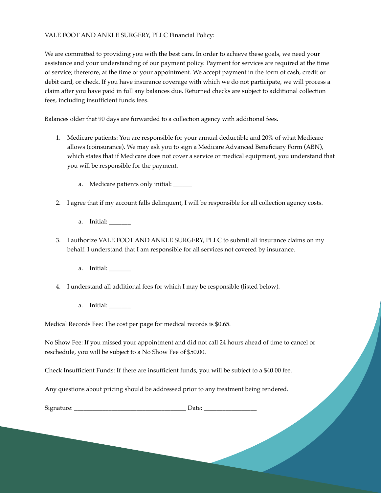## VALE FOOT AND ANKLE SURGERY, PLLC Financial Policy:

We are committed to providing you with the best care. In order to achieve these goals, we need your assistance and your understanding of our payment policy. Payment for services are required at the time of service; therefore, at the time of your appointment. We accept payment in the form of cash, credit or debit card, or check. If you have insurance coverage with which we do not participate, we will process a claim after you have paid in full any balances due. Returned checks are subject to additional collection fees, including insufficient funds fees.

Balances older that 90 days are forwarded to a collection agency with additional fees.

- 1. Medicare patients: You are responsible for your annual deductible and 20% of what Medicare allows (coinsurance). We may ask you to sign a Medicare Advanced Beneficiary Form (ABN), which states that if Medicare does not cover a service or medical equipment, you understand that you will be responsible for the payment.
	- a. Medicare patients only initial: \_\_\_\_\_\_
- 2. I agree that if my account falls delinquent, I will be responsible for all collection agency costs.
	- a. Initial:
- 3. I authorize VALE FOOT AND ANKLE SURGERY, PLLC to submit all insurance claims on my behalf. I understand that I am responsible for all services not covered by insurance.
	- a. Initial:
- 4. I understand all additional fees for which I may be responsible (listed below).
	- a. Initial: \_\_\_\_\_\_\_

Medical Records Fee: The cost per page for medical records is \$0.65.

No Show Fee: If you missed your appointment and did not call 24 hours ahead of time to cancel or reschedule, you will be subject to a No Show Fee of \$50.00.

Check Insufficient Funds: If there are insufficient funds, you will be subject to a \$40.00 fee.

Any questions about pricing should be addressed prior to any treatment being rendered.